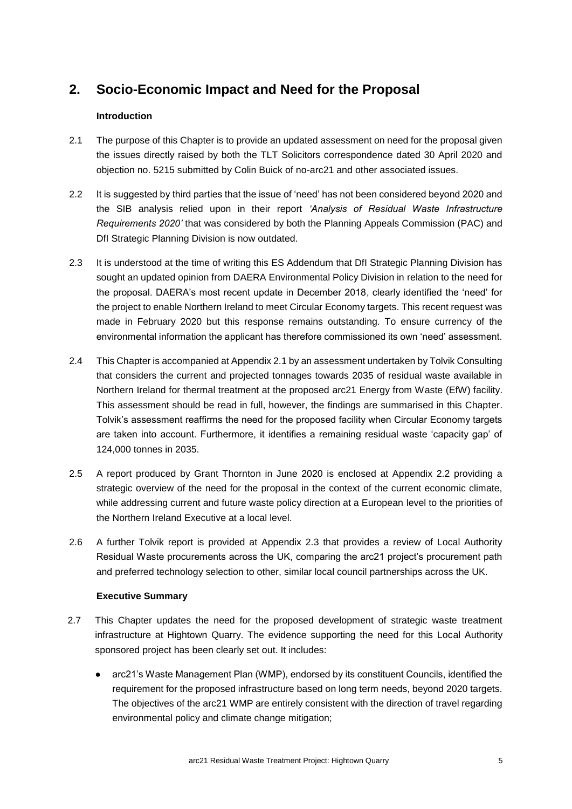# **2. Socio-Economic Impact and Need for the Proposal**

# **Introduction**

- 2.1 The purpose of this Chapter is to provide an updated assessment on need for the proposal given the issues directly raised by both the TLT Solicitors correspondence dated 30 April 2020 and objection no. 5215 submitted by Colin Buick of no-arc21 and other associated issues.
- 2.2 It is suggested by third parties that the issue of 'need' has not been considered beyond 2020 and the SIB analysis relied upon in their report *'Analysis of Residual Waste Infrastructure Requirements 2020'* that was considered by both the Planning Appeals Commission (PAC) and DfI Strategic Planning Division is now outdated.
- 2.3 It is understood at the time of writing this ES Addendum that DfI Strategic Planning Division has sought an updated opinion from DAERA Environmental Policy Division in relation to the need for the proposal. DAERA's most recent update in December 2018, clearly identified the 'need' for the project to enable Northern Ireland to meet Circular Economy targets. This recent request was made in February 2020 but this response remains outstanding. To ensure currency of the environmental information the applicant has therefore commissioned its own 'need' assessment.
- 2.4 This Chapter is accompanied at Appendix 2.1 by an assessment undertaken by Tolvik Consulting that considers the current and projected tonnages towards 2035 of residual waste available in Northern Ireland for thermal treatment at the proposed arc21 Energy from Waste (EfW) facility. This assessment should be read in full, however, the findings are summarised in this Chapter. Tolvik's assessment reaffirms the need for the proposed facility when Circular Economy targets are taken into account. Furthermore, it identifies a remaining residual waste 'capacity gap' of 124,000 tonnes in 2035.
- 2.5 A report produced by Grant Thornton in June 2020 is enclosed at Appendix 2.2 providing a strategic overview of the need for the proposal in the context of the current economic climate, while addressing current and future waste policy direction at a European level to the priorities of the Northern Ireland Executive at a local level.
- 2.6 A further Tolvik report is provided at Appendix 2.3 that provides a review of Local Authority Residual Waste procurements across the UK, comparing the arc21 project's procurement path and preferred technology selection to other, similar local council partnerships across the UK.

#### **Executive Summary**

- 2.7 This Chapter updates the need for the proposed development of strategic waste treatment infrastructure at Hightown Quarry. The evidence supporting the need for this Local Authority sponsored project has been clearly set out. It includes:
	- arc21's Waste Management Plan (WMP), endorsed by its constituent Councils, identified the requirement for the proposed infrastructure based on long term needs, beyond 2020 targets. The objectives of the arc21 WMP are entirely consistent with the direction of travel regarding environmental policy and climate change mitigation;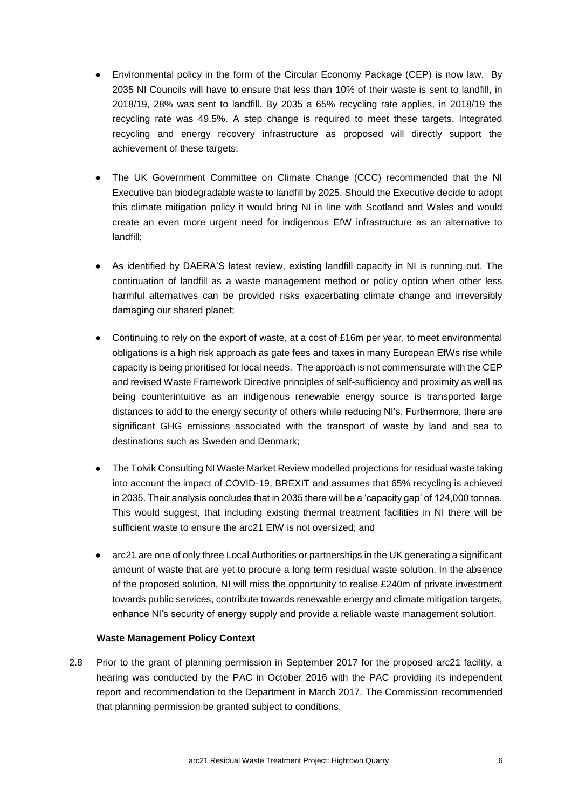- Environmental policy in the form of the Circular Economy Package (CEP) is now law. By 2035 NI Councils will have to ensure that less than 10% of their waste is sent to landfill, in 2018/19, 28% was sent to landfill. By 2035 a 65% recycling rate applies, in 2018/19 the recycling rate was 49.5%. A step change is required to meet these targets. Integrated recycling and energy recovery infrastructure as proposed will directly support the achievement of these targets;
- The UK Government Committee on Climate Change (CCC) recommended that the NI Executive ban biodegradable waste to landfill by 2025. Should the Executive decide to adopt this climate mitigation policy it would bring NI in line with Scotland and Wales and would create an even more urgent need for indigenous EfW infrastructure as an alternative to landfill;
- As identified by DAERA'S latest review, existing landfill capacity in NI is running out. The continuation of landfill as a waste management method or policy option when other less harmful alternatives can be provided risks exacerbating climate change and irreversibly damaging our shared planet;
- Continuing to rely on the export of waste, at a cost of £16m per year, to meet environmental obligations is a high risk approach as gate fees and taxes in many European EfWs rise while capacity is being prioritised for local needs. The approach is not commensurate with the CEP and revised Waste Framework Directive principles of self-sufficiency and proximity as well as being counterintuitive as an indigenous renewable energy source is transported large distances to add to the energy security of others while reducing NI's. Furthermore, there are significant GHG emissions associated with the transport of waste by land and sea to destinations such as Sweden and Denmark;
- The Tolvik Consulting NI Waste Market Review modelled projections for residual waste taking into account the impact of COVID-19, BREXIT and assumes that 65% recycling is achieved in 2035. Their analysis concludes that in 2035 there will be a 'capacity gap' of 124,000 tonnes. This would suggest, that including existing thermal treatment facilities in NI there will be sufficient waste to ensure the arc21 EfW is not oversized; and
- arc21 are one of only three Local Authorities or partnerships in the UK generating a significant amount of waste that are yet to procure a long term residual waste solution. In the absence of the proposed solution, NI will miss the opportunity to realise £240m of private investment towards public services, contribute towards renewable energy and climate mitigation targets, enhance NI's security of energy supply and provide a reliable waste management solution.

#### **Waste Management Policy Context**

2.8 Prior to the grant of planning permission in September 2017 for the proposed arc21 facility, a hearing was conducted by the PAC in October 2016 with the PAC providing its independent report and recommendation to the Department in March 2017. The Commission recommended that planning permission be granted subject to conditions.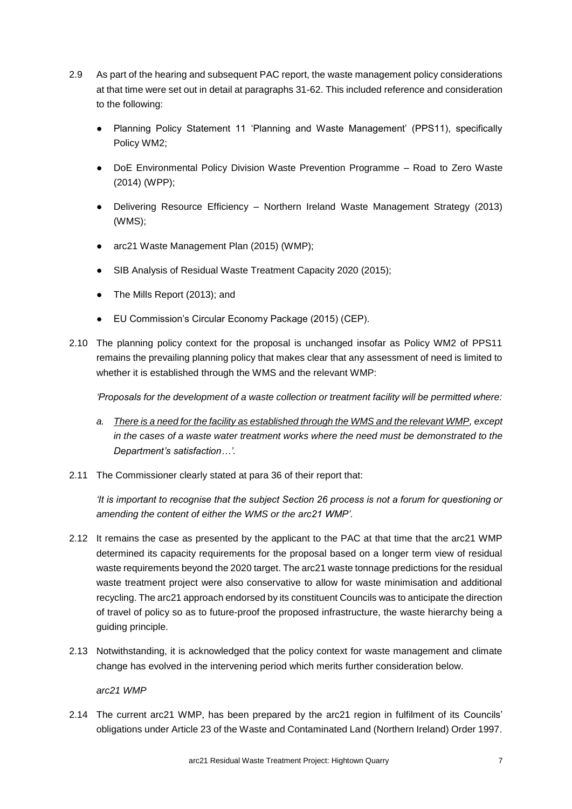- 2.9 As part of the hearing and subsequent PAC report, the waste management policy considerations at that time were set out in detail at paragraphs 31-62. This included reference and consideration to the following:
	- Planning Policy Statement 11 'Planning and Waste Management' (PPS11), specifically Policy WM2;
	- DoE Environmental Policy Division Waste Prevention Programme Road to Zero Waste (2014) (WPP);
	- Delivering Resource Efficiency Northern Ireland Waste Management Strategy (2013) (WMS);
	- arc21 Waste Management Plan (2015) (WMP);
	- SIB Analysis of Residual Waste Treatment Capacity 2020 (2015);
	- The Mills Report (2013); and
	- EU Commission's Circular Economy Package (2015) (CEP).
- 2.10 The planning policy context for the proposal is unchanged insofar as Policy WM2 of PPS11 remains the prevailing planning policy that makes clear that any assessment of need is limited to whether it is established through the WMS and the relevant WMP:

*'Proposals for the development of a waste collection or treatment facility will be permitted where:*

- *a. There is a need for the facility as established through the WMS and the relevant WMP, except in the cases of a waste water treatment works where the need must be demonstrated to the Department's satisfaction…'.*
- 2.11 The Commissioner clearly stated at para 36 of their report that:

*'It is important to recognise that the subject Section 26 process is not a forum for questioning or amending the content of either the WMS or the arc21 WMP'.* 

- 2.12 It remains the case as presented by the applicant to the PAC at that time that the arc21 WMP determined its capacity requirements for the proposal based on a longer term view of residual waste requirements beyond the 2020 target. The arc21 waste tonnage predictions for the residual waste treatment project were also conservative to allow for waste minimisation and additional recycling. The arc21 approach endorsed by its constituent Councils was to anticipate the direction of travel of policy so as to future-proof the proposed infrastructure, the waste hierarchy being a guiding principle.
- 2.13 Notwithstanding, it is acknowledged that the policy context for waste management and climate change has evolved in the intervening period which merits further consideration below.

*arc21 WMP*

2.14 The current arc21 WMP, has been prepared by the arc21 region in fulfilment of its Councils' obligations under Article 23 of the Waste and Contaminated Land (Northern Ireland) Order 1997.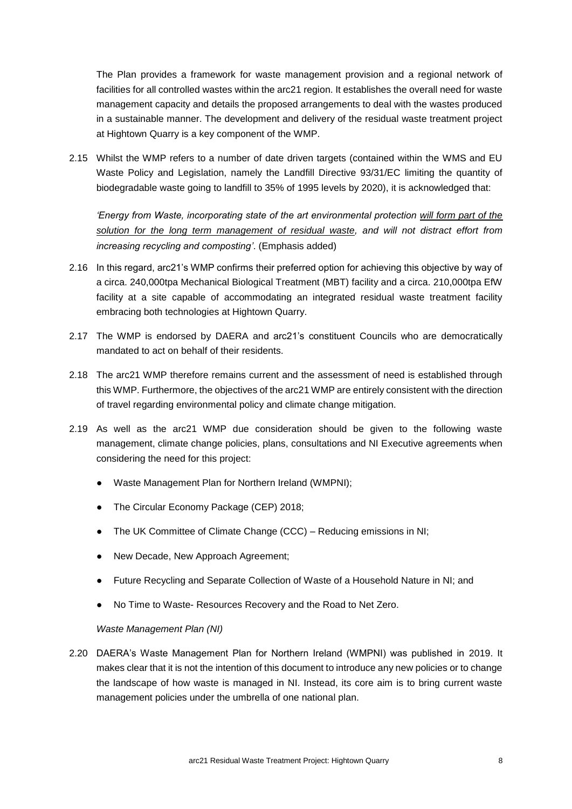The Plan provides a framework for waste management provision and a regional network of facilities for all controlled wastes within the arc21 region. It establishes the overall need for waste management capacity and details the proposed arrangements to deal with the wastes produced in a sustainable manner. The development and delivery of the residual waste treatment project at Hightown Quarry is a key component of the WMP.

2.15 Whilst the WMP refers to a number of date driven targets (contained within the WMS and EU Waste Policy and Legislation, namely the Landfill Directive 93/31/EC limiting the quantity of biodegradable waste going to landfill to 35% of 1995 levels by 2020), it is acknowledged that:

*'Energy from Waste, incorporating state of the art environmental protection will form part of the solution for the long term management of residual waste, and will not distract effort from increasing recycling and composting'*. (Emphasis added)

- 2.16 In this regard, arc21's WMP confirms their preferred option for achieving this objective by way of a circa. 240,000tpa Mechanical Biological Treatment (MBT) facility and a circa. 210,000tpa EfW facility at a site capable of accommodating an integrated residual waste treatment facility embracing both technologies at Hightown Quarry.
- 2.17 The WMP is endorsed by DAERA and arc21's constituent Councils who are democratically mandated to act on behalf of their residents.
- 2.18 The arc21 WMP therefore remains current and the assessment of need is established through this WMP. Furthermore, the objectives of the arc21 WMP are entirely consistent with the direction of travel regarding environmental policy and climate change mitigation.
- 2.19 As well as the arc21 WMP due consideration should be given to the following waste management, climate change policies, plans, consultations and NI Executive agreements when considering the need for this project:
	- Waste Management Plan for Northern Ireland (WMPNI);
	- The Circular Economy Package (CEP) 2018;
	- The UK Committee of Climate Change (CCC) Reducing emissions in NI;
	- New Decade, New Approach Agreement;
	- Future Recycling and Separate Collection of Waste of a Household Nature in NI; and
	- No Time to Waste- Resources Recovery and the Road to Net Zero.

*Waste Management Plan (NI)*

2.20 DAERA's Waste Management Plan for Northern Ireland (WMPNI) was published in 2019. It makes clear that it is not the intention of this document to introduce any new policies or to change the landscape of how waste is managed in NI. Instead, its core aim is to bring current waste management policies under the umbrella of one national plan.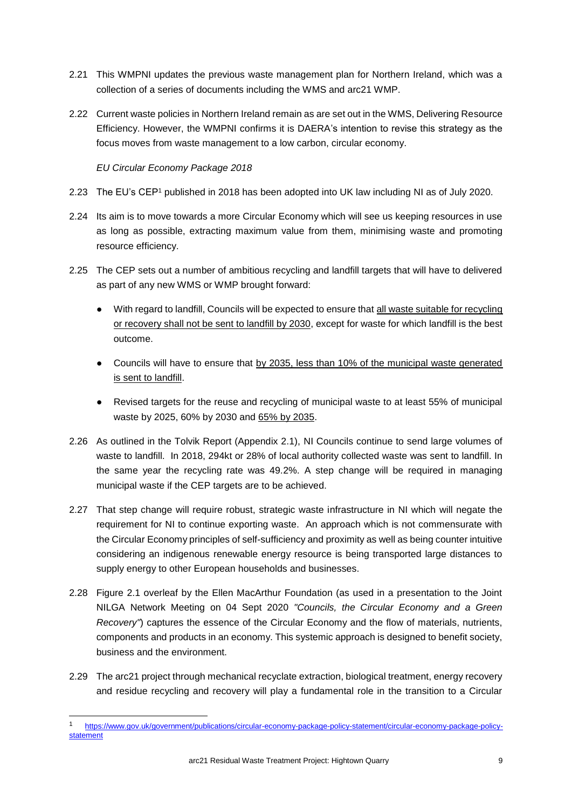- 2.21 This WMPNI updates the previous waste management plan for Northern Ireland, which was a collection of a series of documents including the WMS and arc21 WMP.
- 2.22 Current waste policies in Northern Ireland remain as are set out in the WMS, Delivering Resource Efficiency. However, the WMPNI confirms it is DAERA's intention to revise this strategy as the focus moves from waste management to a low carbon, circular economy.

*EU Circular Economy Package 2018* 

- 2.23 The EU's CEP<sup>1</sup> published in 2018 has been adopted into UK law including NI as of July 2020.
- 2.24 Its aim is to move towards a more Circular Economy which will see us keeping resources in use as long as possible, extracting maximum value from them, minimising waste and promoting resource efficiency.
- 2.25 The CEP sets out a number of ambitious recycling and landfill targets that will have to delivered as part of any new WMS or WMP brought forward:
	- With regard to landfill, Councils will be expected to ensure that all waste suitable for recycling or recovery shall not be sent to landfill by 2030, except for waste for which landfill is the best outcome.
	- Councils will have to ensure that by 2035, less than 10% of the municipal waste generated is sent to landfill.
	- Revised targets for the reuse and recycling of municipal waste to at least 55% of municipal waste by 2025, 60% by 2030 and 65% by 2035.
- 2.26 As outlined in the Tolvik Report (Appendix 2.1), NI Councils continue to send large volumes of waste to landfill. In 2018, 294kt or 28% of local authority collected waste was sent to landfill. In the same year the recycling rate was 49.2%. A step change will be required in managing municipal waste if the CEP targets are to be achieved.
- 2.27 That step change will require robust, strategic waste infrastructure in NI which will negate the requirement for NI to continue exporting waste. An approach which is not commensurate with the Circular Economy principles of self-sufficiency and proximity as well as being counter intuitive considering an indigenous renewable energy resource is being transported large distances to supply energy to other European households and businesses.
- 2.28 Figure 2.1 overleaf by the Ellen MacArthur Foundation (as used in a presentation to the Joint NILGA Network Meeting on 04 Sept 2020 *"Councils, the Circular Economy and a Green Recovery"*) captures the essence of the Circular Economy and the flow of materials, nutrients, components and products in an economy. This systemic approach is designed to benefit society, business and the environment.
- 2.29 The arc21 project through mechanical recyclate extraction, biological treatment, energy recovery and residue recycling and recovery will play a fundamental role in the transition to a Circular

<sup>1</sup> [https://www.gov.uk/government/publications/circular-economy-package-policy-statement/circular-economy-package-policy](https://www.gov.uk/government/publications/circular-economy-package-policy-statement/circular-economy-package-policy-statement)[statement](https://www.gov.uk/government/publications/circular-economy-package-policy-statement/circular-economy-package-policy-statement)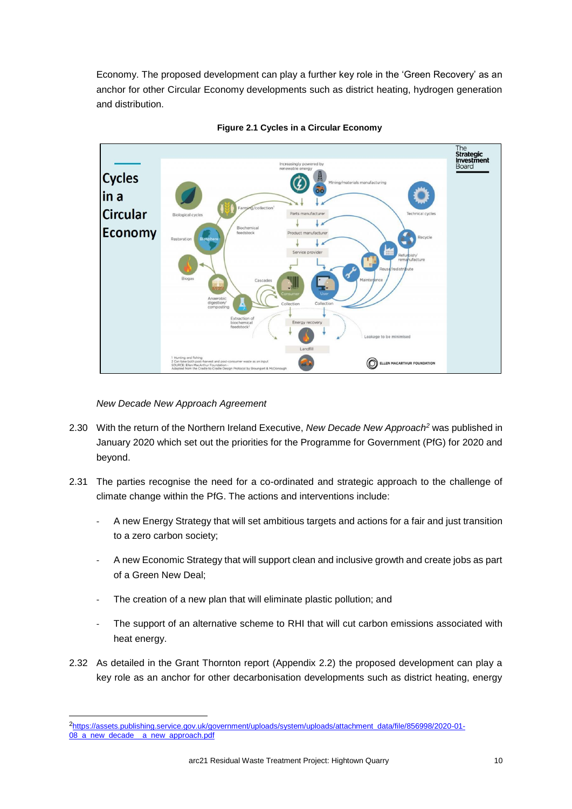Economy. The proposed development can play a further key role in the 'Green Recovery' as an anchor for other Circular Economy developments such as district heating, hydrogen generation and distribution.



**Figure 2.1 Cycles in a Circular Economy**

*New Decade New Approach Agreement*

- 2.30 With the return of the Northern Ireland Executive, *New Decade New Approach<sup>2</sup>* was published in January 2020 which set out the priorities for the Programme for Government (PfG) for 2020 and beyond.
- 2.31 The parties recognise the need for a co-ordinated and strategic approach to the challenge of climate change within the PfG. The actions and interventions include:
	- A new Energy Strategy that will set ambitious targets and actions for a fair and just transition to a zero carbon society;
	- A new Economic Strategy that will support clean and inclusive growth and create jobs as part of a Green New Deal;
	- The creation of a new plan that will eliminate plastic pollution; and
	- The support of an alternative scheme to RHI that will cut carbon emissions associated with heat energy.
- 2.32 As detailed in the Grant Thornton report (Appendix 2.2) the proposed development can play a key role as an anchor for other decarbonisation developments such as district heating, energy

<sup>2</sup>[https://assets.publishing.service.gov.uk/government/uploads/system/uploads/attachment\\_data/file/856998/2020-01-](https://assets.publishing.service.gov.uk/government/uploads/system/uploads/attachment_data/file/856998/2020-01-08_a_new_decade__a_new_approach.pdf) [08\\_a\\_new\\_decade\\_\\_a\\_new\\_approach.pdf](https://assets.publishing.service.gov.uk/government/uploads/system/uploads/attachment_data/file/856998/2020-01-08_a_new_decade__a_new_approach.pdf)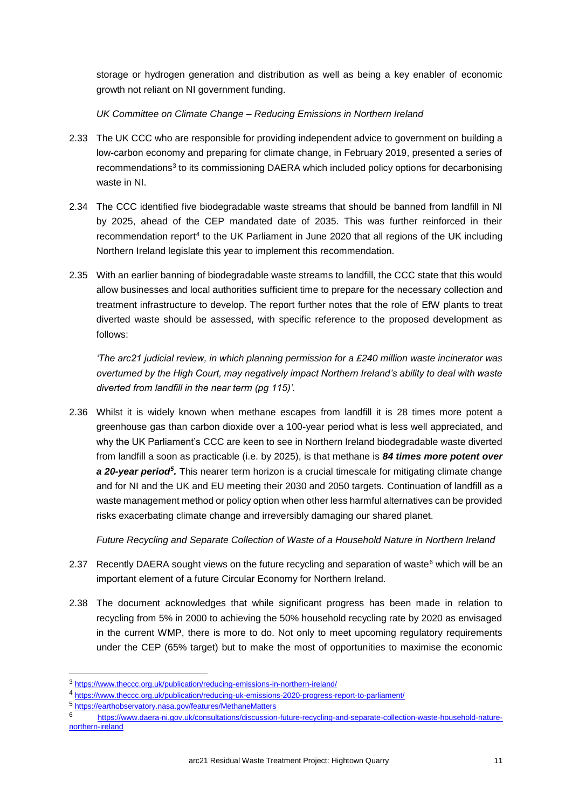storage or hydrogen generation and distribution as well as being a key enabler of economic growth not reliant on NI government funding.

*UK Committee on Climate Change – Reducing Emissions in Northern Ireland*

- 2.33 The UK CCC who are responsible for providing independent advice to government on building a low-carbon economy and preparing for climate change, in February 2019, presented a series of recommendations<sup>3</sup> to its commissioning DAERA which included policy options for decarbonising waste in NI.
- 2.34 The CCC identified five biodegradable waste streams that should be banned from landfill in NI by 2025, ahead of the CEP mandated date of 2035. This was further reinforced in their recommendation report<sup>4</sup> to the UK Parliament in June 2020 that all regions of the UK including Northern Ireland legislate this year to implement this recommendation.
- 2.35 With an earlier banning of biodegradable waste streams to landfill, the CCC state that this would allow businesses and local authorities sufficient time to prepare for the necessary collection and treatment infrastructure to develop. The report further notes that the role of EfW plants to treat diverted waste should be assessed, with specific reference to the proposed development as follows:

*'The arc21 judicial review, in which planning permission for a £240 million waste incinerator was overturned by the High Court, may negatively impact Northern Ireland's ability to deal with waste diverted from landfill in the near term (pg 115)'.*

2.36 Whilst it is widely known when methane escapes from landfill it is 28 times more potent a greenhouse gas than carbon dioxide over a 100-year period what is less well appreciated, and why the UK Parliament's CCC are keen to see in Northern Ireland biodegradable waste diverted from landfill a soon as practicable (i.e. by 2025), is that methane is *84 times more potent over*  a 20-year period<sup>5</sup>. This nearer term horizon is a crucial timescale for mitigating climate change and for NI and the UK and EU meeting their 2030 and 2050 targets. Continuation of landfill as a waste management method or policy option when other less harmful alternatives can be provided risks exacerbating climate change and irreversibly damaging our shared planet.

*Future Recycling and Separate Collection of Waste of a Household Nature in Northern Ireland* 

- 2.37 Recently DAERA sought views on the future recycling and separation of waste<sup>6</sup> which will be an important element of a future Circular Economy for Northern Ireland.
- 2.38 The document acknowledges that while significant progress has been made in relation to recycling from 5% in 2000 to achieving the 50% household recycling rate by 2020 as envisaged in the current WMP, there is more to do. Not only to meet upcoming regulatory requirements under the CEP (65% target) but to make the most of opportunities to maximise the economic

<sup>3</sup> <https://www.theccc.org.uk/publication/reducing-emissions-in-northern-ireland/>

<sup>4</sup> <https://www.theccc.org.uk/publication/reducing-uk-emissions-2020-progress-report-to-parliament/>

<sup>5</sup> <https://earthobservatory.nasa.gov/features/MethaneMatters>

<sup>6</sup> [https://www.daera-ni.gov.uk/consultations/discussion-future-recycling-and-separate-collection-waste-household-nature](https://www.daera-ni.gov.uk/consultations/discussion-future-recycling-and-separate-collection-waste-household-nature-northern-ireland)[northern-ireland](https://www.daera-ni.gov.uk/consultations/discussion-future-recycling-and-separate-collection-waste-household-nature-northern-ireland)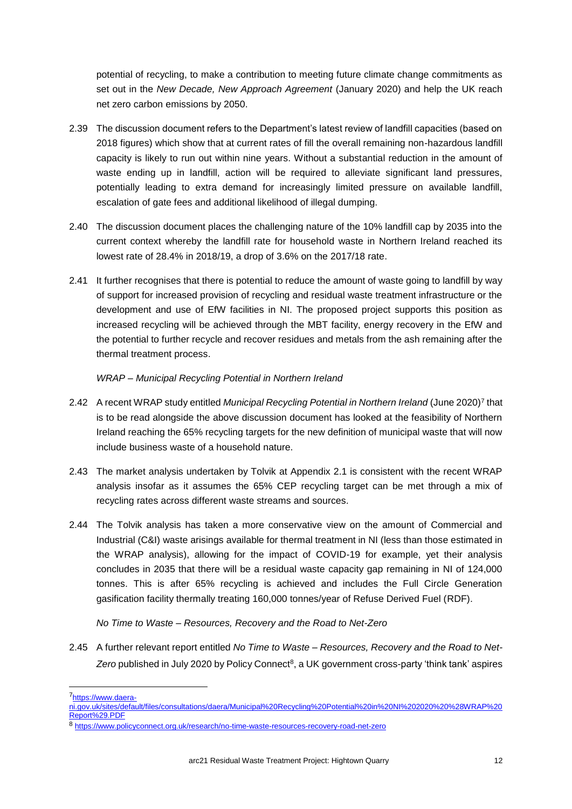potential of recycling, to make a contribution to meeting future climate change commitments as set out in the *New Decade, New Approach Agreement* (January 2020) and help the UK reach net zero carbon emissions by 2050.

- 2.39 The discussion document refers to the Department's latest review of landfill capacities (based on 2018 figures) which show that at current rates of fill the overall remaining non-hazardous landfill capacity is likely to run out within nine years. Without a substantial reduction in the amount of waste ending up in landfill, action will be required to alleviate significant land pressures, potentially leading to extra demand for increasingly limited pressure on available landfill, escalation of gate fees and additional likelihood of illegal dumping.
- 2.40 The discussion document places the challenging nature of the 10% landfill cap by 2035 into the current context whereby the landfill rate for household waste in Northern Ireland reached its lowest rate of 28.4% in 2018/19, a drop of 3.6% on the 2017/18 rate.
- 2.41 It further recognises that there is potential to reduce the amount of waste going to landfill by way of support for increased provision of recycling and residual waste treatment infrastructure or the development and use of EfW facilities in NI. The proposed project supports this position as increased recycling will be achieved through the MBT facility, energy recovery in the EfW and the potential to further recycle and recover residues and metals from the ash remaining after the thermal treatment process.

## *WRAP – Municipal Recycling Potential in Northern Ireland*

- 2.42 A recent WRAP study entitled *Municipal Recycling Potential in Northern Ireland* (June 2020)<sup>7</sup> that is to be read alongside the above discussion document has looked at the feasibility of Northern Ireland reaching the 65% recycling targets for the new definition of municipal waste that will now include business waste of a household nature.
- 2.43 The market analysis undertaken by Tolvik at Appendix 2.1 is consistent with the recent WRAP analysis insofar as it assumes the 65% CEP recycling target can be met through a mix of recycling rates across different waste streams and sources.
- 2.44 The Tolvik analysis has taken a more conservative view on the amount of Commercial and Industrial (C&I) waste arisings available for thermal treatment in NI (less than those estimated in the WRAP analysis), allowing for the impact of COVID-19 for example, yet their analysis concludes in 2035 that there will be a residual waste capacity gap remaining in NI of 124,000 tonnes. This is after 65% recycling is achieved and includes the Full Circle Generation gasification facility thermally treating 160,000 tonnes/year of Refuse Derived Fuel (RDF).

# *No Time to Waste – Resources, Recovery and the Road to Net-Zero*

2.45 A further relevant report entitled *No Time to Waste – Resources, Recovery and the Road to Net-*Zero published in July 2020 by Policy Connect<sup>8</sup>, a UK government cross-party 'think tank' aspires

<sup>7</sup>[https://www.daera-](https://www.daera-ni.gov.uk/sites/default/files/consultations/daera/Municipal%20Recycling%20Potential%20in%20NI%202020%20%28WRAP%20Report%29.PDF)

[ni.gov.uk/sites/default/files/consultations/daera/Municipal%20Recycling%20Potential%20in%20NI%202020%20%28WRAP%20](https://www.daera-ni.gov.uk/sites/default/files/consultations/daera/Municipal%20Recycling%20Potential%20in%20NI%202020%20%28WRAP%20Report%29.PDF) [Report%29.PDF](https://www.daera-ni.gov.uk/sites/default/files/consultations/daera/Municipal%20Recycling%20Potential%20in%20NI%202020%20%28WRAP%20Report%29.PDF)

<sup>8</sup> <https://www.policyconnect.org.uk/research/no-time-waste-resources-recovery-road-net-zero>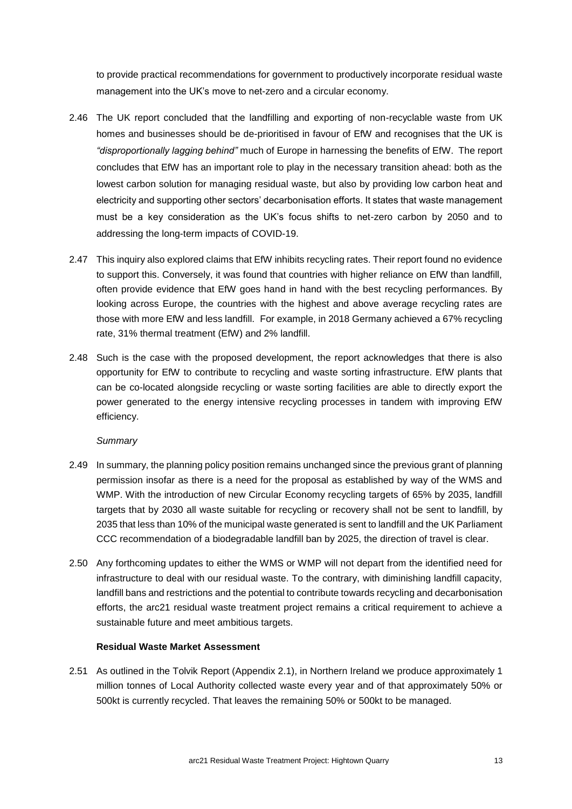to provide practical recommendations for government to productively incorporate residual waste management into the UK's move to net-zero and a circular economy.

- 2.46 The UK report concluded that the landfilling and exporting of non-recyclable waste from UK homes and businesses should be de-prioritised in favour of EfW and recognises that the UK is *"disproportionally lagging behind"* much of Europe in harnessing the benefits of EfW. The report concludes that EfW has an important role to play in the necessary transition ahead: both as the lowest carbon solution for managing residual waste, but also by providing low carbon heat and electricity and supporting other sectors' decarbonisation efforts. It states that waste management must be a key consideration as the UK's focus shifts to net-zero carbon by 2050 and to addressing the long-term impacts of COVID-19.
- 2.47 This inquiry also explored claims that EfW inhibits recycling rates. Their report found no evidence to support this. Conversely, it was found that countries with higher reliance on EfW than landfill, often provide evidence that EfW goes hand in hand with the best recycling performances. By looking across Europe, the countries with the highest and above average recycling rates are those with more EfW and less landfill. For example, in 2018 Germany achieved a 67% recycling rate, 31% thermal treatment (EfW) and 2% landfill.
- 2.48 Such is the case with the proposed development, the report acknowledges that there is also opportunity for EfW to contribute to recycling and waste sorting infrastructure. EfW plants that can be co-located alongside recycling or waste sorting facilities are able to directly export the power generated to the energy intensive recycling processes in tandem with improving EfW efficiency.

#### *Summary*

- 2.49 In summary, the planning policy position remains unchanged since the previous grant of planning permission insofar as there is a need for the proposal as established by way of the WMS and WMP. With the introduction of new Circular Economy recycling targets of 65% by 2035, landfill targets that by 2030 all waste suitable for recycling or recovery shall not be sent to landfill, by 2035 that less than 10% of the municipal waste generated is sent to landfill and the UK Parliament CCC recommendation of a biodegradable landfill ban by 2025, the direction of travel is clear.
- 2.50 Any forthcoming updates to either the WMS or WMP will not depart from the identified need for infrastructure to deal with our residual waste. To the contrary, with diminishing landfill capacity, landfill bans and restrictions and the potential to contribute towards recycling and decarbonisation efforts, the arc21 residual waste treatment project remains a critical requirement to achieve a sustainable future and meet ambitious targets.

#### **Residual Waste Market Assessment**

2.51 As outlined in the Tolvik Report (Appendix 2.1), in Northern Ireland we produce approximately 1 million tonnes of Local Authority collected waste every year and of that approximately 50% or 500kt is currently recycled. That leaves the remaining 50% or 500kt to be managed.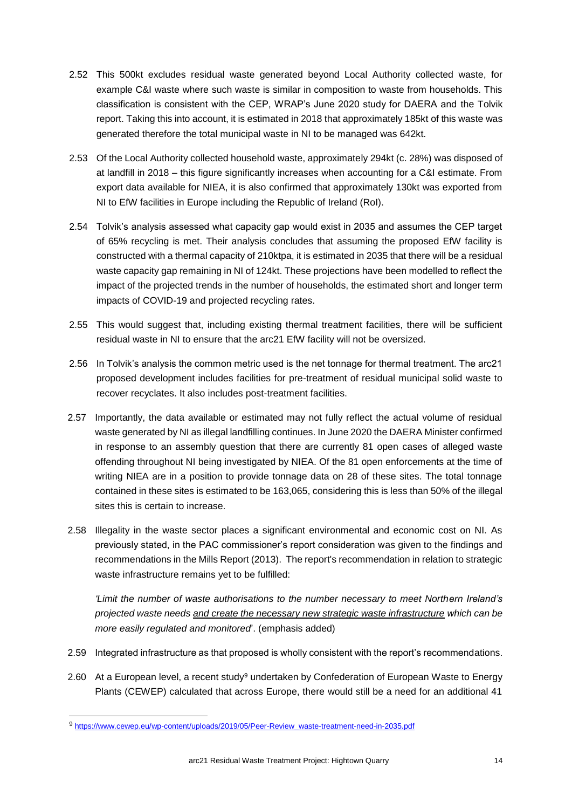- 2.52 This 500kt excludes residual waste generated beyond Local Authority collected waste, for example C&I waste where such waste is similar in composition to waste from households. This classification is consistent with the CEP, WRAP's June 2020 study for DAERA and the Tolvik report. Taking this into account, it is estimated in 2018 that approximately 185kt of this waste was generated therefore the total municipal waste in NI to be managed was 642kt.
- 2.53 Of the Local Authority collected household waste, approximately 294kt (c. 28%) was disposed of at landfill in 2018 – this figure significantly increases when accounting for a C&I estimate. From export data available for NIEA, it is also confirmed that approximately 130kt was exported from NI to EfW facilities in Europe including the Republic of Ireland (RoI).
- 2.54 Tolvik's analysis assessed what capacity gap would exist in 2035 and assumes the CEP target of 65% recycling is met. Their analysis concludes that assuming the proposed EfW facility is constructed with a thermal capacity of 210ktpa, it is estimated in 2035 that there will be a residual waste capacity gap remaining in NI of 124kt. These projections have been modelled to reflect the impact of the projected trends in the number of households, the estimated short and longer term impacts of COVID-19 and projected recycling rates.
- 2.55 This would suggest that, including existing thermal treatment facilities, there will be sufficient residual waste in NI to ensure that the arc21 EfW facility will not be oversized.
- 2.56 In Tolvik's analysis the common metric used is the net tonnage for thermal treatment. The arc21 proposed development includes facilities for pre-treatment of residual municipal solid waste to recover recyclates. It also includes post-treatment facilities.
- 2.57 Importantly, the data available or estimated may not fully reflect the actual volume of residual waste generated by NI as illegal landfilling continues. In June 2020 the DAERA Minister confirmed in response to an assembly question that there are currently 81 open cases of alleged waste offending throughout NI being investigated by NIEA. Of the 81 open enforcements at the time of writing NIEA are in a position to provide tonnage data on 28 of these sites. The total tonnage contained in these sites is estimated to be 163,065, considering this is less than 50% of the illegal sites this is certain to increase.
- 2.58 Illegality in the waste sector places a significant environmental and economic cost on NI. As previously stated, in the PAC commissioner's report consideration was given to the findings and recommendations in the Mills Report (2013). The report's recommendation in relation to strategic waste infrastructure remains yet to be fulfilled:

*'Limit the number of waste authorisations to the number necessary to meet Northern Ireland's projected waste needs and create the necessary new strategic waste infrastructure which can be more easily regulated and monitored*'. (emphasis added)

- 2.59 Integrated infrastructure as that proposed is wholly consistent with the report's recommendations.
- 2.60 At a European level, a recent study<sup>9</sup> undertaken by Confederation of European Waste to Energy Plants (CEWEP) calculated that across Europe, there would still be a need for an additional 41

<sup>9</sup> [https://www.cewep.eu/wp-content/uploads/2019/05/Peer-Review\\_waste-treatment-need-in-2035.pdf](https://www.cewep.eu/wp-content/uploads/2019/05/Peer-Review_waste-treatment-need-in-2035.pdf)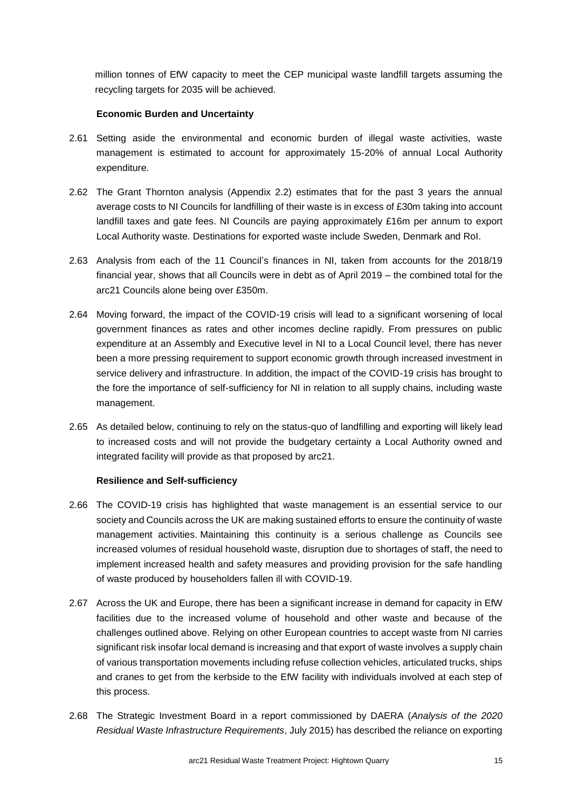million tonnes of EfW capacity to meet the CEP municipal waste landfill targets assuming the recycling targets for 2035 will be achieved.

### **Economic Burden and Uncertainty**

- 2.61 Setting aside the environmental and economic burden of illegal waste activities, waste management is estimated to account for approximately 15-20% of annual Local Authority expenditure.
- 2.62 The Grant Thornton analysis (Appendix 2.2) estimates that for the past 3 years the annual average costs to NI Councils for landfilling of their waste is in excess of £30m taking into account landfill taxes and gate fees. NI Councils are paying approximately £16m per annum to export Local Authority waste. Destinations for exported waste include Sweden, Denmark and RoI.
- 2.63 Analysis from each of the 11 Council's finances in NI, taken from accounts for the 2018/19 financial year, shows that all Councils were in debt as of April 2019 – the combined total for the arc21 Councils alone being over £350m.
- 2.64 Moving forward, the impact of the COVID-19 crisis will lead to a significant worsening of local government finances as rates and other incomes decline rapidly. From pressures on public expenditure at an Assembly and Executive level in NI to a Local Council level, there has never been a more pressing requirement to support economic growth through increased investment in service delivery and infrastructure. In addition, the impact of the COVID-19 crisis has brought to the fore the importance of self-sufficiency for NI in relation to all supply chains, including waste management.
- 2.65 As detailed below, continuing to rely on the status-quo of landfilling and exporting will likely lead to increased costs and will not provide the budgetary certainty a Local Authority owned and integrated facility will provide as that proposed by arc21.

#### **Resilience and Self-sufficiency**

- 2.66 The COVID-19 crisis has highlighted that waste management is an essential service to our society and Councils across the UK are making sustained efforts to ensure the continuity of waste management activities. Maintaining this continuity is a serious challenge as Councils see increased volumes of residual household waste, disruption due to shortages of staff, the need to implement increased health and safety measures and providing provision for the safe handling of waste produced by householders fallen ill with COVID-19.
- 2.67 Across the UK and Europe, there has been a significant increase in demand for capacity in EfW facilities due to the increased volume of household and other waste and because of the challenges outlined above. Relying on other European countries to accept waste from NI carries significant risk insofar local demand is increasing and that export of waste involves a supply chain of various transportation movements including refuse collection vehicles, articulated trucks, ships and cranes to get from the kerbside to the EfW facility with individuals involved at each step of this process.
- 2.68 The Strategic Investment Board in a report commissioned by DAERA (*Analysis of the 2020 Residual Waste Infrastructure Requirements*, July 2015) has described the reliance on exporting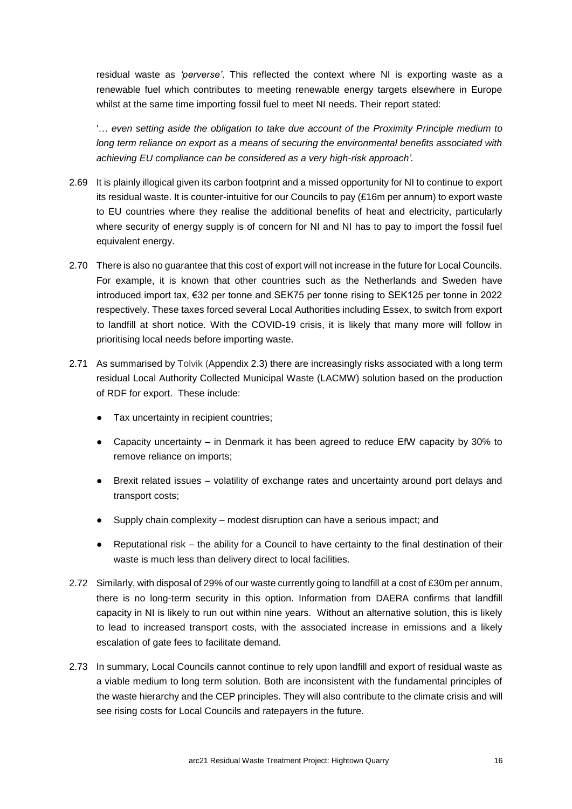residual waste as *'perverse'*. This reflected the context where NI is exporting waste as a renewable fuel which contributes to meeting renewable energy targets elsewhere in Europe whilst at the same time importing fossil fuel to meet NI needs. Their report stated:

'… *even setting aside the obligation to take due account of the Proximity Principle medium to long term reliance on export as a means of securing the environmental benefits associated with achieving EU compliance can be considered as a very high-risk approach'.*

- 2.69 It is plainly illogical given its carbon footprint and a missed opportunity for NI to continue to export its residual waste. It is counter-intuitive for our Councils to pay (£16m per annum) to export waste to EU countries where they realise the additional benefits of heat and electricity, particularly where security of energy supply is of concern for NI and NI has to pay to import the fossil fuel equivalent energy.
- 2.70 There is also no guarantee that this cost of export will not increase in the future for Local Councils. For example, it is known that other countries such as the Netherlands and Sweden have introduced import tax, €32 per tonne and SEK75 per tonne rising to SEK125 per tonne in 2022 respectively. These taxes forced several Local Authorities including Essex, to switch from export to landfill at short notice. With the COVID-19 crisis, it is likely that many more will follow in prioritising local needs before importing waste.
- 2.71 As summarised by Tolvik (Appendix 2.3) there are increasingly risks associated with a long term residual Local Authority Collected Municipal Waste (LACMW) solution based on the production of RDF for export. These include:
	- Tax uncertainty in recipient countries:
	- Capacity uncertainty in Denmark it has been agreed to reduce EfW capacity by 30% to remove reliance on imports;
	- Brexit related issues volatility of exchange rates and uncertainty around port delays and transport costs;
	- Supply chain complexity modest disruption can have a serious impact; and
	- Reputational risk the ability for a Council to have certainty to the final destination of their waste is much less than delivery direct to local facilities.
- 2.72 Similarly, with disposal of 29% of our waste currently going to landfill at a cost of £30m per annum, there is no long-term security in this option. Information from DAERA confirms that landfill capacity in NI is likely to run out within nine years. Without an alternative solution, this is likely to lead to increased transport costs, with the associated increase in emissions and a likely escalation of gate fees to facilitate demand.
- 2.73 In summary, Local Councils cannot continue to rely upon landfill and export of residual waste as a viable medium to long term solution. Both are inconsistent with the fundamental principles of the waste hierarchy and the CEP principles. They will also contribute to the climate crisis and will see rising costs for Local Councils and ratepayers in the future.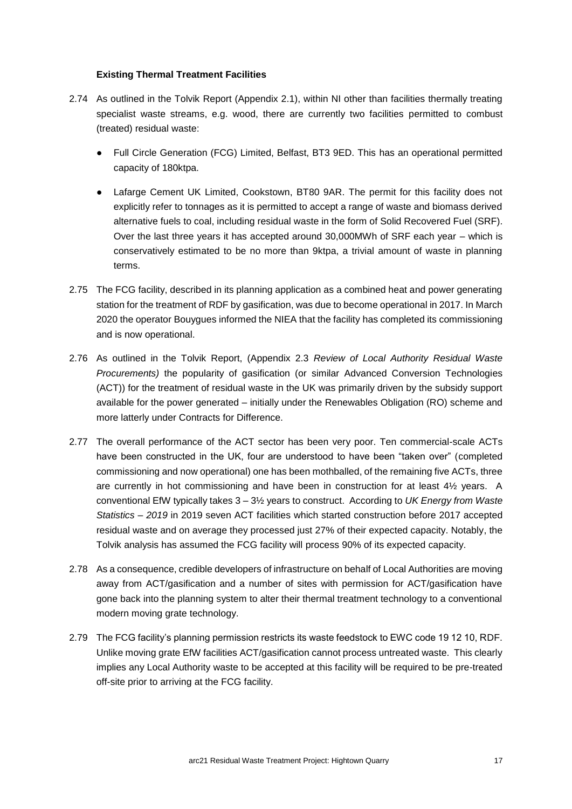#### **Existing Thermal Treatment Facilities**

- 2.74 As outlined in the Tolvik Report (Appendix 2.1), within NI other than facilities thermally treating specialist waste streams, e.g. wood, there are currently two facilities permitted to combust (treated) residual waste:
	- Full Circle Generation (FCG) Limited, Belfast, BT3 9ED. This has an operational permitted capacity of 180ktpa.
	- Lafarge Cement UK Limited, Cookstown, BT80 9AR. The permit for this facility does not explicitly refer to tonnages as it is permitted to accept a range of waste and biomass derived alternative fuels to coal, including residual waste in the form of Solid Recovered Fuel (SRF). Over the last three years it has accepted around 30,000MWh of SRF each year – which is conservatively estimated to be no more than 9ktpa, a trivial amount of waste in planning terms.
- 2.75 The FCG facility, described in its planning application as a combined heat and power generating station for the treatment of RDF by gasification, was due to become operational in 2017. In March 2020 the operator Bouygues informed the NIEA that the facility has completed its commissioning and is now operational.
- 2.76 As outlined in the Tolvik Report, (Appendix 2.3 *Review of Local Authority Residual Waste Procurements)* the popularity of gasification (or similar Advanced Conversion Technologies (ACT)) for the treatment of residual waste in the UK was primarily driven by the subsidy support available for the power generated – initially under the Renewables Obligation (RO) scheme and more latterly under Contracts for Difference.
- 2.77 The overall performance of the ACT sector has been very poor. Ten commercial-scale ACTs have been constructed in the UK, four are understood to have been "taken over" (completed commissioning and now operational) one has been mothballed, of the remaining five ACTs, three are currently in hot commissioning and have been in construction for at least 4½ years. A conventional EfW typically takes 3 – 3½ years to construct. According to *UK Energy from Waste Statistics – 2019* in 2019 seven ACT facilities which started construction before 2017 accepted residual waste and on average they processed just 27% of their expected capacity. Notably, the Tolvik analysis has assumed the FCG facility will process 90% of its expected capacity.
- 2.78 As a consequence, credible developers of infrastructure on behalf of Local Authorities are moving away from ACT/gasification and a number of sites with permission for ACT/gasification have gone back into the planning system to alter their thermal treatment technology to a conventional modern moving grate technology.
- 2.79 The FCG facility's planning permission restricts its waste feedstock to EWC code 19 12 10, RDF. Unlike moving grate EfW facilities ACT/gasification cannot process untreated waste. This clearly implies any Local Authority waste to be accepted at this facility will be required to be pre-treated off-site prior to arriving at the FCG facility.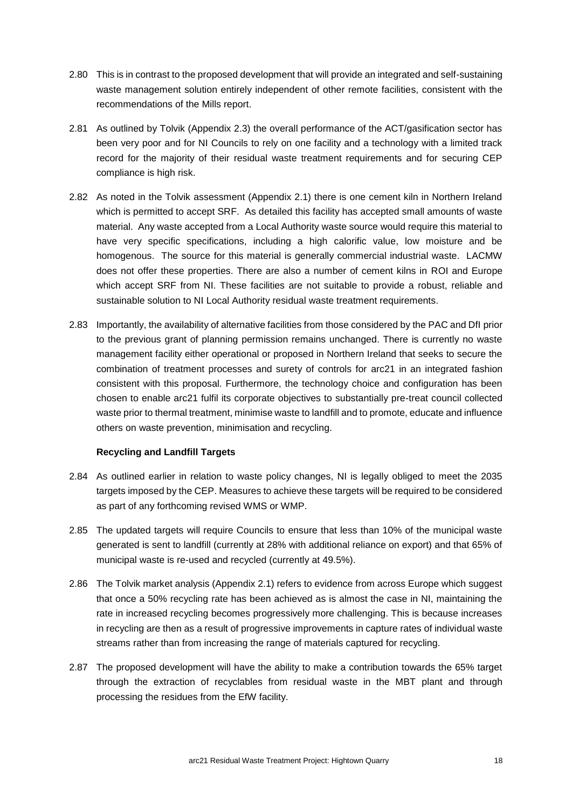- 2.80 This is in contrast to the proposed development that will provide an integrated and self-sustaining waste management solution entirely independent of other remote facilities, consistent with the recommendations of the Mills report.
- 2.81 As outlined by Tolvik (Appendix 2.3) the overall performance of the ACT/gasification sector has been very poor and for NI Councils to rely on one facility and a technology with a limited track record for the majority of their residual waste treatment requirements and for securing CEP compliance is high risk.
- 2.82 As noted in the Tolvik assessment (Appendix 2.1) there is one cement kiln in Northern Ireland which is permitted to accept SRF. As detailed this facility has accepted small amounts of waste material. Any waste accepted from a Local Authority waste source would require this material to have very specific specifications, including a high calorific value, low moisture and be homogenous. The source for this material is generally commercial industrial waste. LACMW does not offer these properties. There are also a number of cement kilns in ROI and Europe which accept SRF from NI. These facilities are not suitable to provide a robust, reliable and sustainable solution to NI Local Authority residual waste treatment requirements.
- 2.83 Importantly, the availability of alternative facilities from those considered by the PAC and DfI prior to the previous grant of planning permission remains unchanged. There is currently no waste management facility either operational or proposed in Northern Ireland that seeks to secure the combination of treatment processes and surety of controls for arc21 in an integrated fashion consistent with this proposal. Furthermore, the technology choice and configuration has been chosen to enable arc21 fulfil its corporate objectives to substantially pre-treat council collected waste prior to thermal treatment, minimise waste to landfill and to promote, educate and influence others on waste prevention, minimisation and recycling.

#### **Recycling and Landfill Targets**

- 2.84 As outlined earlier in relation to waste policy changes, NI is legally obliged to meet the 2035 targets imposed by the CEP. Measures to achieve these targets will be required to be considered as part of any forthcoming revised WMS or WMP.
- 2.85 The updated targets will require Councils to ensure that less than 10% of the municipal waste generated is sent to landfill (currently at 28% with additional reliance on export) and that 65% of municipal waste is re-used and recycled (currently at 49.5%).
- 2.86 The Tolvik market analysis (Appendix 2.1) refers to evidence from across Europe which suggest that once a 50% recycling rate has been achieved as is almost the case in NI, maintaining the rate in increased recycling becomes progressively more challenging. This is because increases in recycling are then as a result of progressive improvements in capture rates of individual waste streams rather than from increasing the range of materials captured for recycling.
- 2.87 The proposed development will have the ability to make a contribution towards the 65% target through the extraction of recyclables from residual waste in the MBT plant and through processing the residues from the EfW facility.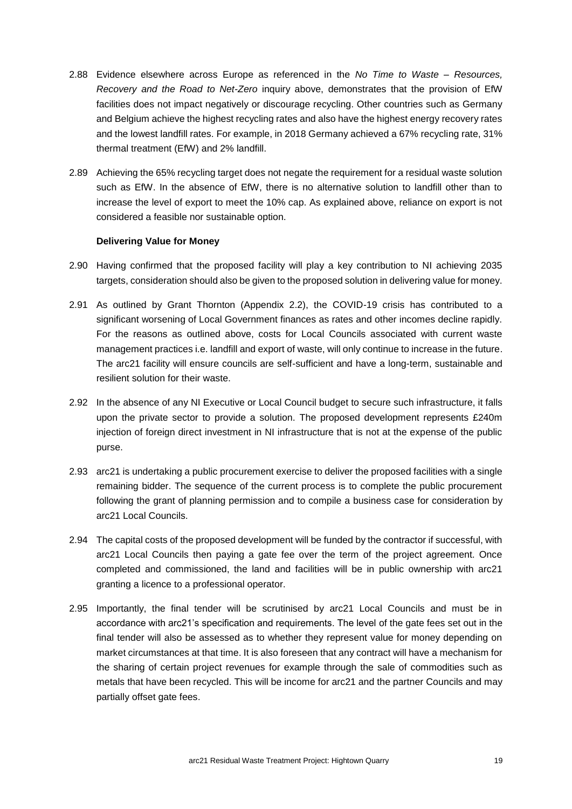- 2.88 Evidence elsewhere across Europe as referenced in the *No Time to Waste – Resources, Recovery and the Road to Net-Zero* inquiry above, demonstrates that the provision of EfW facilities does not impact negatively or discourage recycling. Other countries such as Germany and Belgium achieve the highest recycling rates and also have the highest energy recovery rates and the lowest landfill rates. For example, in 2018 Germany achieved a 67% recycling rate, 31% thermal treatment (EfW) and 2% landfill.
- 2.89 Achieving the 65% recycling target does not negate the requirement for a residual waste solution such as EfW. In the absence of EfW, there is no alternative solution to landfill other than to increase the level of export to meet the 10% cap. As explained above, reliance on export is not considered a feasible nor sustainable option.

#### **Delivering Value for Money**

- 2.90 Having confirmed that the proposed facility will play a key contribution to NI achieving 2035 targets, consideration should also be given to the proposed solution in delivering value for money.
- 2.91 As outlined by Grant Thornton (Appendix 2.2), the COVID-19 crisis has contributed to a significant worsening of Local Government finances as rates and other incomes decline rapidly. For the reasons as outlined above, costs for Local Councils associated with current waste management practices i.e. landfill and export of waste, will only continue to increase in the future. The arc21 facility will ensure councils are self-sufficient and have a long-term, sustainable and resilient solution for their waste.
- 2.92 In the absence of any NI Executive or Local Council budget to secure such infrastructure, it falls upon the private sector to provide a solution. The proposed development represents £240m injection of foreign direct investment in NI infrastructure that is not at the expense of the public purse.
- 2.93 arc21 is undertaking a public procurement exercise to deliver the proposed facilities with a single remaining bidder. The sequence of the current process is to complete the public procurement following the grant of planning permission and to compile a business case for consideration by arc21 Local Councils.
- 2.94 The capital costs of the proposed development will be funded by the contractor if successful, with arc21 Local Councils then paying a gate fee over the term of the project agreement. Once completed and commissioned, the land and facilities will be in public ownership with arc21 granting a licence to a professional operator.
- 2.95 Importantly, the final tender will be scrutinised by arc21 Local Councils and must be in accordance with arc21's specification and requirements. The level of the gate fees set out in the final tender will also be assessed as to whether they represent value for money depending on market circumstances at that time. It is also foreseen that any contract will have a mechanism for the sharing of certain project revenues for example through the sale of commodities such as metals that have been recycled. This will be income for arc21 and the partner Councils and may partially offset gate fees.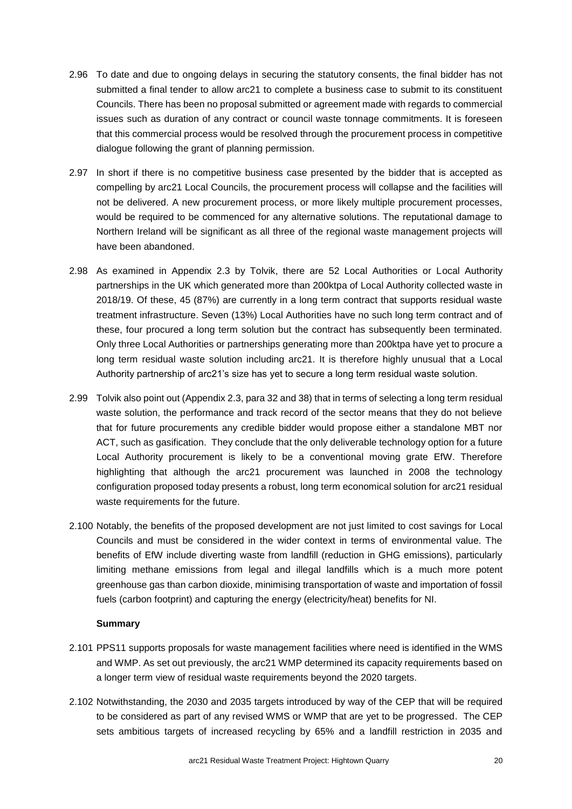- 2.96 To date and due to ongoing delays in securing the statutory consents, the final bidder has not submitted a final tender to allow arc21 to complete a business case to submit to its constituent Councils. There has been no proposal submitted or agreement made with regards to commercial issues such as duration of any contract or council waste tonnage commitments. It is foreseen that this commercial process would be resolved through the procurement process in competitive dialogue following the grant of planning permission.
- 2.97 In short if there is no competitive business case presented by the bidder that is accepted as compelling by arc21 Local Councils, the procurement process will collapse and the facilities will not be delivered. A new procurement process, or more likely multiple procurement processes, would be required to be commenced for any alternative solutions. The reputational damage to Northern Ireland will be significant as all three of the regional waste management projects will have been abandoned.
- 2.98 As examined in Appendix 2.3 by Tolvik, there are 52 Local Authorities or Local Authority partnerships in the UK which generated more than 200ktpa of Local Authority collected waste in 2018/19. Of these, 45 (87%) are currently in a long term contract that supports residual waste treatment infrastructure. Seven (13%) Local Authorities have no such long term contract and of these, four procured a long term solution but the contract has subsequently been terminated. Only three Local Authorities or partnerships generating more than 200ktpa have yet to procure a long term residual waste solution including arc21. It is therefore highly unusual that a Local Authority partnership of arc21's size has yet to secure a long term residual waste solution.
- 2.99 Tolvik also point out (Appendix 2.3, para 32 and 38) that in terms of selecting a long term residual waste solution, the performance and track record of the sector means that they do not believe that for future procurements any credible bidder would propose either a standalone MBT nor ACT, such as gasification. They conclude that the only deliverable technology option for a future Local Authority procurement is likely to be a conventional moving grate EfW. Therefore highlighting that although the arc21 procurement was launched in 2008 the technology configuration proposed today presents a robust, long term economical solution for arc21 residual waste requirements for the future.
- 2.100 Notably, the benefits of the proposed development are not just limited to cost savings for Local Councils and must be considered in the wider context in terms of environmental value. The benefits of EfW include diverting waste from landfill (reduction in GHG emissions), particularly limiting methane emissions from legal and illegal landfills which is a much more potent greenhouse gas than carbon dioxide, minimising transportation of waste and importation of fossil fuels (carbon footprint) and capturing the energy (electricity/heat) benefits for NI.

#### **Summary**

- 2.101 PPS11 supports proposals for waste management facilities where need is identified in the WMS and WMP. As set out previously, the arc21 WMP determined its capacity requirements based on a longer term view of residual waste requirements beyond the 2020 targets.
- 2.102 Notwithstanding, the 2030 and 2035 targets introduced by way of the CEP that will be required to be considered as part of any revised WMS or WMP that are yet to be progressed. The CEP sets ambitious targets of increased recycling by 65% and a landfill restriction in 2035 and